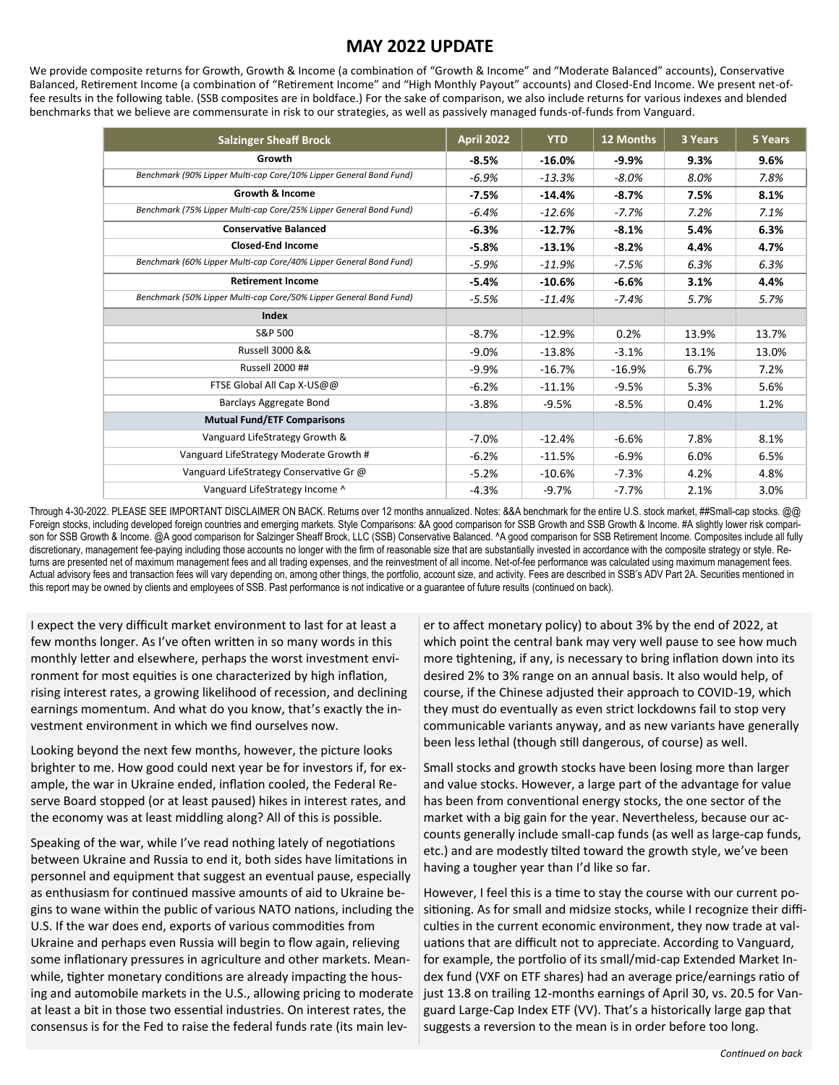## **MAY 2022 UPDATE**

We provide composite returns for Growth, Growth & Income (a combination of "Growth & Income" and "Moderate Balanced" accounts), Conservative Balanced, Retirement Income (a combination of "Retirement Income" and "High Monthly Payout" accounts) and Closed-End Income. We present net-offee results in the following table. (SSB composites are in boldface.) For the sake of comparison, we also include returns for various indexes and blended benchmarks that we believe are commensurate in risk to our strategies, as well as passively managed funds-of-funds from Vanguard.

| <b>Salzinger Sheaff Brock</b>                                      | <b>April 2022</b> | <b>YTD</b> | 12 Months | 3 Years | 5 Years |
|--------------------------------------------------------------------|-------------------|------------|-----------|---------|---------|
| Growth                                                             | $-8.5%$           | $-16.0%$   | $-9.9%$   | 9.3%    | 9.6%    |
| Benchmark (90% Lipper Multi-cap Core/10% Lipper General Bond Fund) | $-6.9%$           | $-13.3%$   | $-8.0%$   | 8.0%    | 7.8%    |
| <b>Growth &amp; Income</b>                                         | $-7.5%$           | $-14.4%$   | $-8.7%$   | 7.5%    | 8.1%    |
| Benchmark (75% Lipper Multi-cap Core/25% Lipper General Bond Fund) | $-6.4%$           | $-12.6%$   | $-7.7%$   | 7.2%    | 7.1%    |
| <b>Conservative Balanced</b>                                       | $-6.3%$           | $-12.7%$   | $-8.1%$   | 5.4%    | 6.3%    |
| <b>Closed-End Income</b>                                           | $-5.8%$           | $-13.1%$   | $-8.2%$   | 4.4%    | 4.7%    |
| Benchmark (60% Lipper Multi-cap Core/40% Lipper General Bond Fund) | $-5.9%$           | $-11.9%$   | $-7.5%$   | 6.3%    | 6.3%    |
| <b>Retirement Income</b>                                           | $-5.4%$           | $-10.6%$   | $-6.6%$   | 3.1%    | 4.4%    |
| Benchmark (50% Lipper Multi-cap Core/50% Lipper General Bond Fund) | $-5.5%$           | $-11.4%$   | $-7.4%$   | 5.7%    | 5.7%    |
| Index                                                              |                   |            |           |         |         |
| S&P 500                                                            | $-8.7%$           | $-12.9%$   | 0.2%      | 13.9%   | 13.7%   |
| Russell 3000 &&                                                    | $-9.0%$           | $-13.8%$   | $-3.1%$   | 13.1%   | 13.0%   |
| Russell 2000 ##                                                    | $-9.9%$           | $-16.7%$   | $-16.9%$  | 6.7%    | 7.2%    |
| FTSE Global All Cap X-US@@                                         | $-6.2%$           | $-11.1%$   | $-9.5%$   | 5.3%    | 5.6%    |
| Barclays Aggregate Bond                                            | $-3.8%$           | $-9.5%$    | $-8.5%$   | 0.4%    | 1.2%    |
| <b>Mutual Fund/ETF Comparisons</b>                                 |                   |            |           |         |         |
| Vanguard LifeStrategy Growth &                                     | $-7.0%$           | $-12.4%$   | $-6.6%$   | 7.8%    | 8.1%    |
| Vanguard LifeStrategy Moderate Growth #                            | $-6.2%$           | $-11.5%$   | $-6.9%$   | 6.0%    | 6.5%    |
| Vanguard LifeStrategy Conservative Gr @                            | $-5.2%$           | $-10.6%$   | $-7.3%$   | 4.2%    | 4.8%    |
| Vanguard LifeStrategy Income ^                                     | $-4.3%$           | $-9.7%$    | $-7.7%$   | 2.1%    | 3.0%    |

Through 4-30-2022. PLEASE SEE IMPORTANT DISCLAIMER ON BACK. Returns over 12 months annualized. Notes: &&A benchmark for the entire U.S. stock market, ##Small-cap stocks. @@ Foreign stocks, including developed foreign countries and emerging markets. Style Comparisons: &A good comparison for SSB Growth and SSB Growth & Income. #A slightly lower risk comparison for SSB Growth & Income. @A good comparison for Salzinger Sheaff Brock, LLC (SSB) Conservative Balanced. ^A good comparison for SSB Retirement Income. Composites include all fully discretionary, management fee-paying including those accounts no longer with the firm of reasonable size that are substantially invested in accordance with the composite strategy or style. Returns are presented net of maximum management fees and all trading expenses, and the reinvestment of all income. Net-of-fee performance was calculated using maximum management fees. Actual advisory fees and transaction fees will vary depending on, among other things, the portfolio, account size, and activity. Fees are described in SSB's ADV Part 2A. Securities mentioned in this report may be owned by clients and employees of SSB. Past performance is not indicative or a guarantee of future results (continued on back).

I expect the very difficult market environment to last for at least a few months longer. As I've often written in so many words in this monthly letter and elsewhere, perhaps the worst investment environment for most equities is one characterized by high inflation, rising interest rates, a growing likelihood of recession, and declining earnings momentum. And what do you know, that's exactly the investment environment in which we find ourselves now.

Looking beyond the next few months, however, the picture looks brighter to me. How good could next year be for investors if, for example, the war in Ukraine ended, inflation cooled, the Federal Reserve Board stopped (or at least paused) hikes in interest rates, and the economy was at least middling along? All of this is possible.

Speaking of the war, while I've read nothing lately of negotiations between Ukraine and Russia to end it, both sides have limitations in personnel and equipment that suggest an eventual pause, especially as enthusiasm for continued massive amounts of aid to Ukraine begins to wane within the public of various NATO nations, including the U.S. If the war does end, exports of various commodities from Ukraine and perhaps even Russia will begin to flow again, relieving some inflationary pressures in agriculture and other markets. Meanwhile, tighter monetary conditions are already impacting the housing and automobile markets in the U.S., allowing pricing to moderate at least a bit in those two essential industries. On interest rates, the consensus is for the Fed to raise the federal funds rate (its main lev-

er to affect monetary policy) to about 3% by the end of 2022, at which point the central bank may very well pause to see how much more tightening, if any, is necessary to bring inflation down into its desired 2% to 3% range on an annual basis. It also would help, of course, if the Chinese adjusted their approach to COVID-19, which they must do eventually as even strict lockdowns fail to stop very communicable variants anyway, and as new variants have generally been less lethal (though still dangerous, of course) as well.

Small stocks and growth stocks have been losing more than larger and value stocks. However, a large part of the advantage for value has been from conventional energy stocks, the one sector of the market with a big gain for the year. Nevertheless, because our accounts generally include small-cap funds (as well as large-cap funds, etc.) and are modestly tilted toward the growth style, we've been having a tougher year than I'd like so far.

However, I feel this is a time to stay the course with our current positioning. As for small and midsize stocks, while I recognize their difficulties in the current economic environment, they now trade at valuations that are difficult not to appreciate. According to Vanguard, for example, the portfolio of its small/mid-cap Extended Market Index fund (VXF on ETF shares) had an average price/earnings ratio of just 13.8 on trailing 12-months earnings of April 30, vs. 20.5 for Vanguard Large-Cap Index ETF (VV). That's a historically large gap that suggests a reversion to the mean is in order before too long.